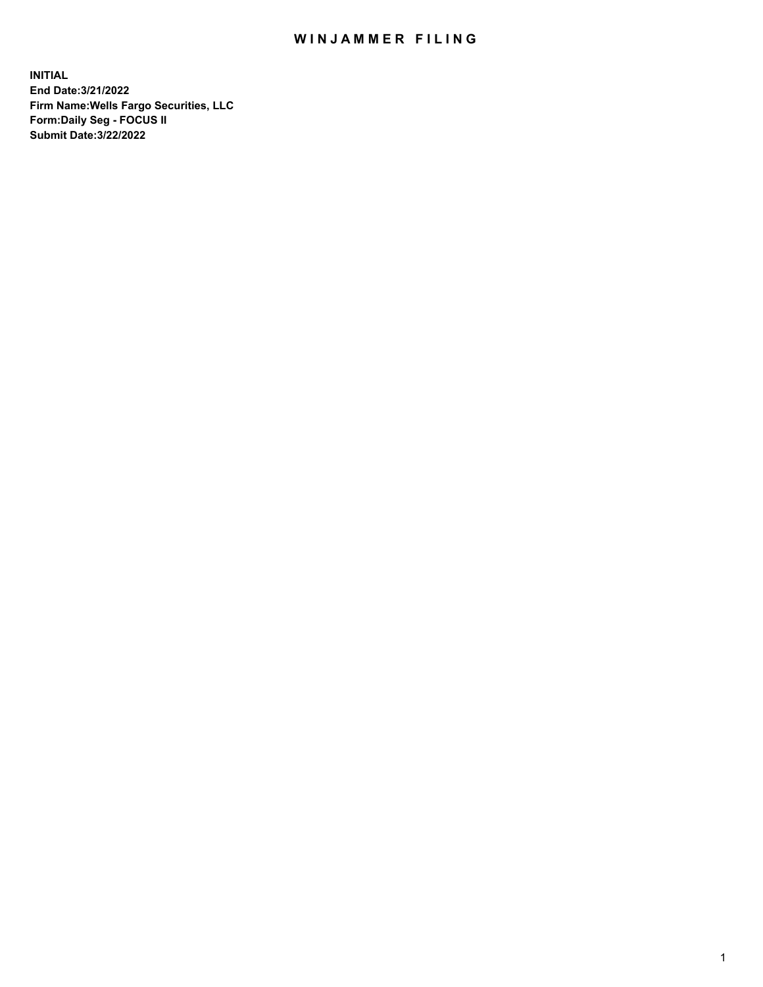## WIN JAMMER FILING

**INITIAL End Date:3/21/2022 Firm Name:Wells Fargo Securities, LLC Form:Daily Seg - FOCUS II Submit Date:3/22/2022**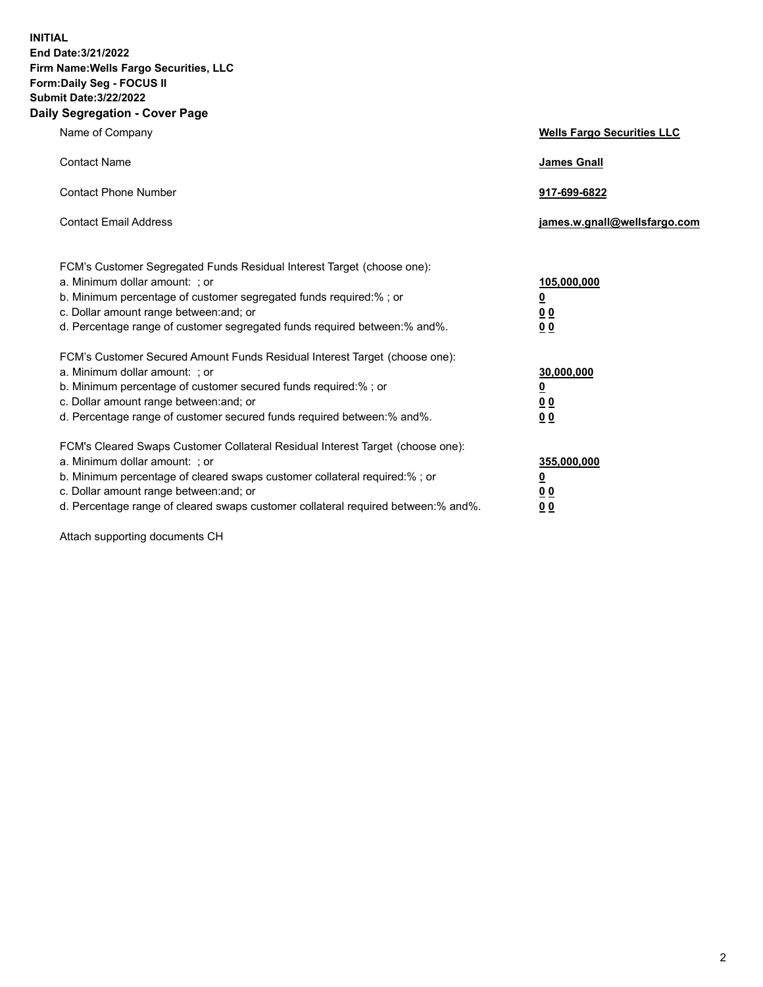**INITIAL End Date:3/21/2022 Firm Name:Wells Fargo Securities, LLC Form:Daily Seg - FOCUS II Submit Date:3/22/2022 Daily Segregation - Cover Page**

| Name of Company                                                                                                                                                                                                                                                                                                                | <b>Wells Fargo Securities LLC</b>                          |
|--------------------------------------------------------------------------------------------------------------------------------------------------------------------------------------------------------------------------------------------------------------------------------------------------------------------------------|------------------------------------------------------------|
| <b>Contact Name</b>                                                                                                                                                                                                                                                                                                            | <b>James Gnall</b>                                         |
| <b>Contact Phone Number</b>                                                                                                                                                                                                                                                                                                    | 917-699-6822                                               |
| <b>Contact Email Address</b>                                                                                                                                                                                                                                                                                                   | james.w.gnall@wellsfargo.com                               |
| FCM's Customer Segregated Funds Residual Interest Target (choose one):<br>a. Minimum dollar amount: ; or<br>b. Minimum percentage of customer segregated funds required:% ; or<br>c. Dollar amount range between: and; or<br>d. Percentage range of customer segregated funds required between:% and%.                         | 105,000,000<br><u>0</u><br>0 <sub>0</sub><br>00            |
| FCM's Customer Secured Amount Funds Residual Interest Target (choose one):<br>a. Minimum dollar amount: ; or<br>b. Minimum percentage of customer secured funds required:%; or<br>c. Dollar amount range between: and; or<br>d. Percentage range of customer secured funds required between:% and%.                            | 30,000,000<br><u>0</u><br>0 <sub>0</sub><br>0 <sub>0</sub> |
| FCM's Cleared Swaps Customer Collateral Residual Interest Target (choose one):<br>a. Minimum dollar amount: ; or<br>b. Minimum percentage of cleared swaps customer collateral required:% ; or<br>c. Dollar amount range between: and; or<br>d. Percentage range of cleared swaps customer collateral required between:% and%. | 355,000,000<br><u>0</u><br>00<br>00                        |

Attach supporting documents CH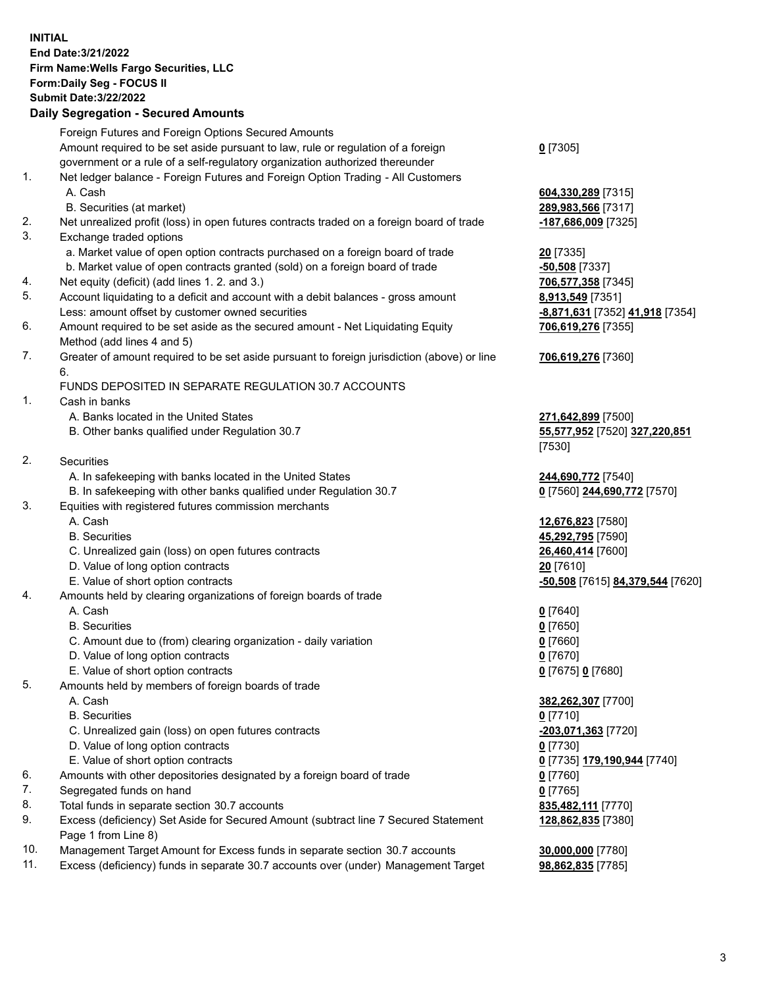**INITIAL End Date:3/21/2022 Firm Name:Wells Fargo Securities, LLC Form:Daily Seg - FOCUS II Submit Date:3/22/2022**

## **Daily Segregation - Secured Amounts**

|    | Foreign Futures and Foreign Options Secured Amounts                                         |                                  |
|----|---------------------------------------------------------------------------------------------|----------------------------------|
|    | Amount required to be set aside pursuant to law, rule or regulation of a foreign            | $0$ [7305]                       |
|    | government or a rule of a self-regulatory organization authorized thereunder                |                                  |
| 1. | Net ledger balance - Foreign Futures and Foreign Option Trading - All Customers             |                                  |
|    | A. Cash                                                                                     | 604,330,289 [7315]               |
|    | B. Securities (at market)                                                                   | 289,983,566 [7317]               |
| 2. | Net unrealized profit (loss) in open futures contracts traded on a foreign board of trade   | -187,686,009 [7325]              |
| 3. | Exchange traded options                                                                     |                                  |
|    | a. Market value of open option contracts purchased on a foreign board of trade              | $20$ [7335]                      |
|    | b. Market value of open contracts granted (sold) on a foreign board of trade                | $-50,508$ [7337]                 |
| 4. | Net equity (deficit) (add lines 1. 2. and 3.)                                               | 706,577,358 [7345]               |
| 5. | Account liquidating to a deficit and account with a debit balances - gross amount           | 8,913,549 [7351]                 |
|    | Less: amount offset by customer owned securities                                            | -8,871,631 [7352] 41,918 [7354]  |
| 6. | Amount required to be set aside as the secured amount - Net Liquidating Equity              | 706,619,276 [7355]               |
|    | Method (add lines 4 and 5)                                                                  |                                  |
| 7. | Greater of amount required to be set aside pursuant to foreign jurisdiction (above) or line | 706,619,276 [7360]               |
|    | 6.                                                                                          |                                  |
|    | FUNDS DEPOSITED IN SEPARATE REGULATION 30.7 ACCOUNTS                                        |                                  |
| 1. | Cash in banks                                                                               |                                  |
|    | A. Banks located in the United States                                                       | 271,642,899 [7500]               |
|    | B. Other banks qualified under Regulation 30.7                                              | 55,577,952 [7520] 327,220,851    |
|    |                                                                                             | [7530]                           |
| 2. | Securities                                                                                  |                                  |
|    | A. In safekeeping with banks located in the United States                                   | 244,690,772 [7540]               |
|    | B. In safekeeping with other banks qualified under Regulation 30.7                          | 0 [7560] 244,690,772 [7570]      |
| 3. | Equities with registered futures commission merchants                                       |                                  |
|    | A. Cash                                                                                     | 12,676,823 [7580]                |
|    | <b>B.</b> Securities                                                                        | 45,292,795 [7590]                |
|    | C. Unrealized gain (loss) on open futures contracts                                         | 26,460,414 [7600]                |
|    | D. Value of long option contracts                                                           | 20 [7610]                        |
|    | E. Value of short option contracts                                                          | -50,508 [7615] 84,379,544 [7620] |
| 4. | Amounts held by clearing organizations of foreign boards of trade                           |                                  |
|    | A. Cash                                                                                     | $0$ [7640]                       |
|    | <b>B.</b> Securities                                                                        | $0$ [7650]                       |
|    | C. Amount due to (from) clearing organization - daily variation                             | $0$ [7660]                       |
|    | D. Value of long option contracts                                                           | $0$ [7670]                       |
|    | E. Value of short option contracts                                                          | 0 [7675] 0 [7680]                |
| 5. | Amounts held by members of foreign boards of trade                                          |                                  |
|    | A. Cash                                                                                     | 382,262,307 [7700]               |
|    | <b>B.</b> Securities                                                                        | $0$ [7710]                       |
|    | C. Unrealized gain (loss) on open futures contracts                                         | $-203,071,363$ [7720]            |
|    | D. Value of long option contracts                                                           | $0$ [7730]                       |
|    | E. Value of short option contracts                                                          | 0 [7735] 179,190,944 [7740]      |
| 6. | Amounts with other depositories designated by a foreign board of trade                      | $0$ [7760]                       |
| 7. | Segregated funds on hand                                                                    | $0$ [7765]                       |
| 8. | Total funds in separate section 30.7 accounts                                               | 835,482,111 [7770]               |
| 9. | Excess (deficiency) Set Aside for Secured Amount (subtract line 7 Secured Statement         | 128,862,835 [7380]               |
|    | Page 1 from Line 8)                                                                         |                                  |

- 10. Management Target Amount for Excess funds in separate section 30.7 accounts **30,000,000** [7780]
- 11. Excess (deficiency) funds in separate 30.7 accounts over (under) Management Target **98,862,835** [7785]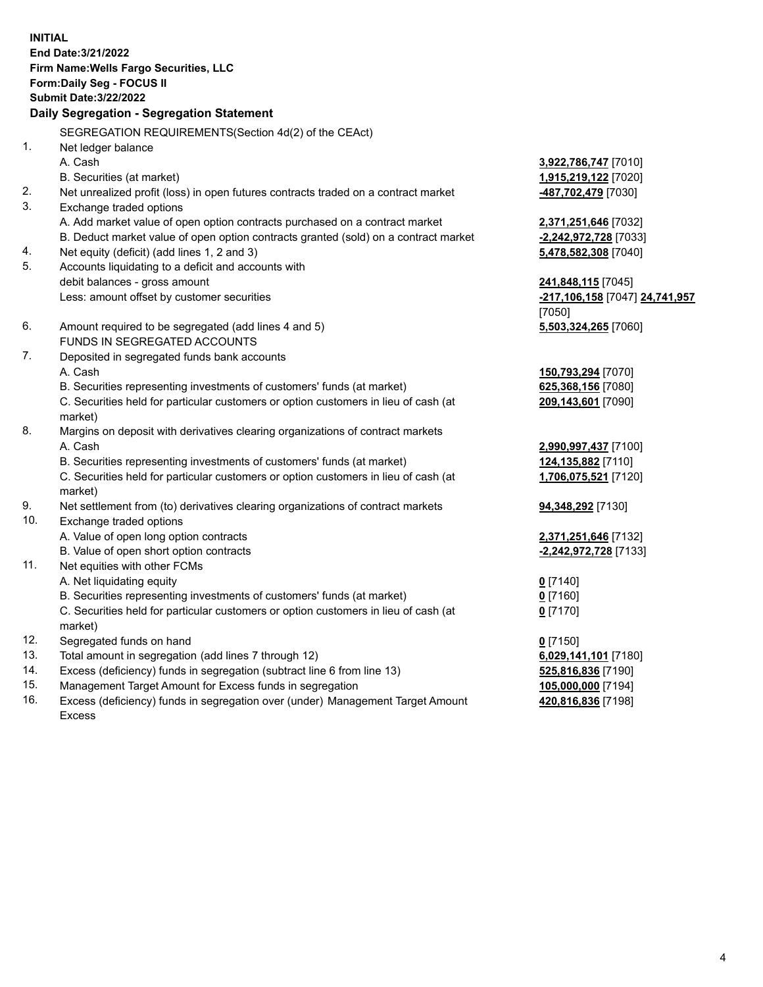**INITIAL End Date:3/21/2022 Firm Name:Wells Fargo Securities, LLC Form:Daily Seg - FOCUS II Submit Date:3/22/2022**

## **Daily Segregation - Segregation Statement**

SEGREGATION REQUIREMENTS(Section 4d(2) of the CEAct)

|                | SEGNEGATION NEQUINEMENTS(SEGION 40(2) OF THE CEAGO                                  |                                |
|----------------|-------------------------------------------------------------------------------------|--------------------------------|
| $\mathbf{1}$ . | Net ledger balance                                                                  |                                |
|                | A. Cash                                                                             | 3,922,786,747 [7010]           |
|                | B. Securities (at market)                                                           | 1,915,219,122 [7020]           |
| 2.             | Net unrealized profit (loss) in open futures contracts traded on a contract market  | 487,702,479 [7030]             |
| 3.             | Exchange traded options                                                             |                                |
|                | A. Add market value of open option contracts purchased on a contract market         | 2,371,251,646 [7032]           |
|                | B. Deduct market value of open option contracts granted (sold) on a contract market | -2,242,972,728 [7033]          |
| 4.             | Net equity (deficit) (add lines 1, 2 and 3)                                         | 5,478,582,308 [7040]           |
| 5.             | Accounts liquidating to a deficit and accounts with                                 |                                |
|                | debit balances - gross amount                                                       | 241,848,115 [7045]             |
|                | Less: amount offset by customer securities                                          | -217,106,158 [7047] 24,741,957 |
|                |                                                                                     | [7050]                         |
| 6.             | Amount required to be segregated (add lines 4 and 5)                                | 5,503,324,265 [7060]           |
|                | FUNDS IN SEGREGATED ACCOUNTS                                                        |                                |
| 7.             | Deposited in segregated funds bank accounts                                         |                                |
|                | A. Cash                                                                             | 150,793,294 [7070]             |
|                | B. Securities representing investments of customers' funds (at market)              | 625,368,156 [7080]             |
|                | C. Securities held for particular customers or option customers in lieu of cash (at | 209,143,601 [7090]             |
|                | market)                                                                             |                                |
| 8.             | Margins on deposit with derivatives clearing organizations of contract markets      |                                |
|                | A. Cash                                                                             | 2,990,997,437 [7100]           |
|                | B. Securities representing investments of customers' funds (at market)              | 124,135,882 [7110]             |
|                | C. Securities held for particular customers or option customers in lieu of cash (at | 1,706,075,521 [7120]           |
|                | market)                                                                             |                                |
| 9.             | Net settlement from (to) derivatives clearing organizations of contract markets     | 94,348,292 [7130]              |
| 10.            | Exchange traded options                                                             |                                |
|                | A. Value of open long option contracts                                              | 2,371,251,646 [7132]           |
|                | B. Value of open short option contracts                                             | -2,242,972,728 [7133]          |
| 11.            | Net equities with other FCMs                                                        |                                |
|                | A. Net liquidating equity                                                           | $0$ [7140]                     |
|                | B. Securities representing investments of customers' funds (at market)              | $0$ [7160]                     |
|                | C. Securities held for particular customers or option customers in lieu of cash (at | $0$ [7170]                     |
|                | market)                                                                             |                                |
| 12.            | Segregated funds on hand                                                            | $0$ [7150]                     |
| 13.            | Total amount in segregation (add lines 7 through 12)                                | 6,029,141,101 [7180]           |
| 14.            | Excess (deficiency) funds in segregation (subtract line 6 from line 13)             | 525,816,836 [7190]             |
| 15.            | Management Target Amount for Excess funds in segregation                            | 105,000,000 [7194]             |
| 16.            | Excess (deficiency) funds in segregation over (under) Management Target Amount      | 420,816,836 [7198]             |
|                | Excess                                                                              |                                |